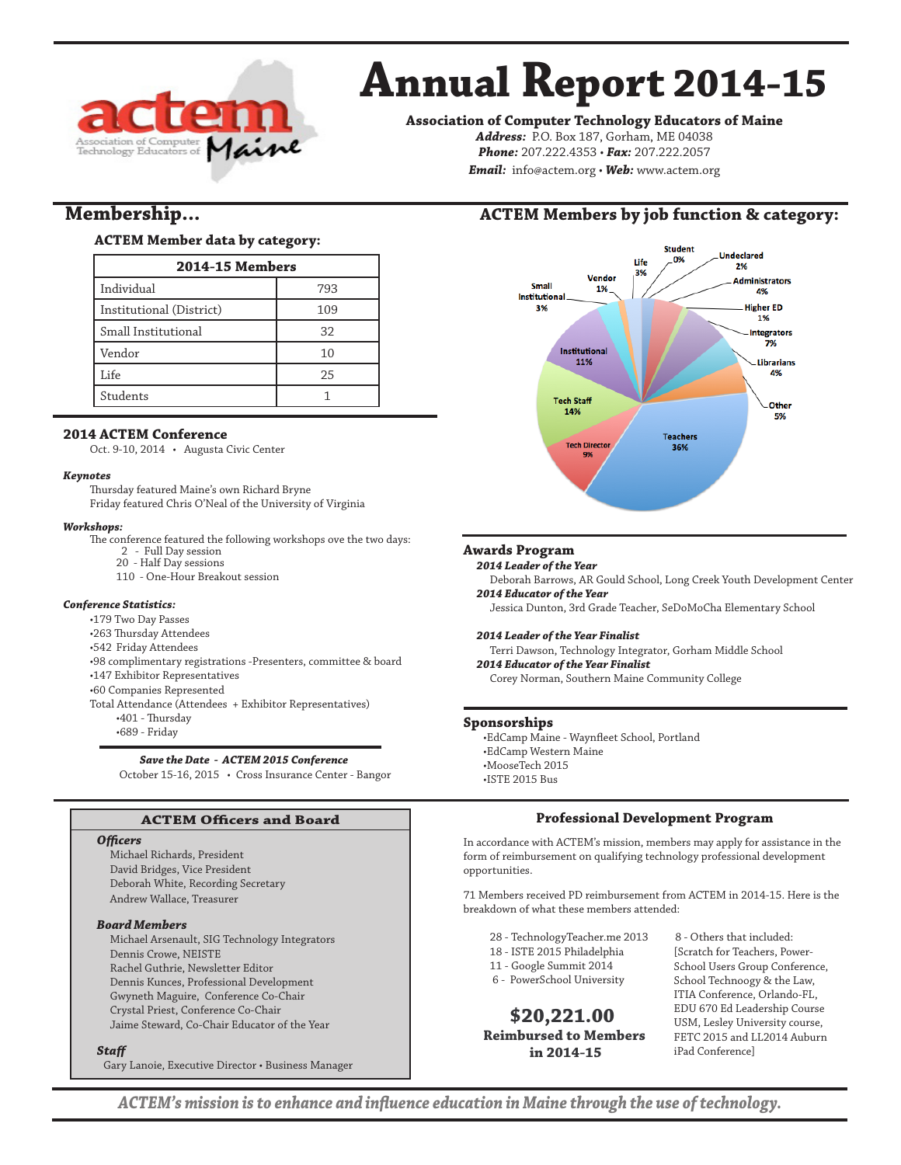

# **Annual Report 2014-15**

**Association of Computer Technology Educators of Maine**

*Address:* P.O. Box 187, Gorham, ME 04038 *Phone:* 207.222.4353 • *Fax:* 207.222.2057 *Email:* info@actem.org • *Web:* www.actem.org

# **Membership...**

# **ACTEM Member data by category:**

| <b>2014-15 Members</b>   |     |  |  |
|--------------------------|-----|--|--|
| Individual               | 793 |  |  |
| Institutional (District) | 109 |  |  |
| Small Institutional      | 32  |  |  |
| Vendor                   | 10  |  |  |
| Life                     | 25  |  |  |
| Students                 |     |  |  |

# **2014 ACTEM Conference**

Oct. 9-10, 2014 • Augusta Civic Center

#### *Keynotes*

Thursday featured Maine's own Richard Bryne Friday featured Chris O'Neal of the University of Virginia

#### *Workshops:*

The conference featured the following workshops ove the two days:

- 2 Full Day session
- 20 Half Day sessions
- 110 One-Hour Breakout session

#### *Conference Statistics:*

- •179 Two Day Passes
- •263 Thursday Attendees
- •542 Friday Attendees
- •98 complimentary registrations -Presenters, committee & board
- •147 Exhibitor Representatives
- •60 Companies Represented
- Total Attendance (Attendees + Exhibitor Representatives)
	- •401 Thursday
		- •689 Friday

### *Save the Date - ACTEM 2015 Conference*

October 15-16, 2015 • Cross Insurance Center - Bangor

# **ACTEM Officers and Board**

#### *Officers*

Michael Richards, President David Bridges, Vice President Deborah White, Recording Secretary Andrew Wallace, Treasurer

#### *Board Members*

Michael Arsenault, SIG Technology Integrators Dennis Crowe, NEISTE Rachel Guthrie, Newsletter Editor Dennis Kunces, Professional Development Gwyneth Maguire, Conference Co-Chair Crystal Priest, Conference Co-Chair Jaime Steward, Co-Chair Educator of the Year

#### *Staff*

Gary Lanoie, Executive Director • Business Manager

# **ACTEM Members by job function & category:**



### **Awards Program**

#### *2014 Leader of the Year*

Deborah Barrows, AR Gould School, Long Creek Youth Development Center *2014 Educator of the Year*

Jessica Dunton, 3rd Grade Teacher, SeDoMoCha Elementary School

#### *2014 Leader of the Year Finalist*

Terri Dawson, Technology Integrator, Gorham Middle School *2014 Educator of the Year Finalist* Corey Norman, Southern Maine Community College

## **Sponsorships**

•EdCamp Maine - Waynfleet School, Portland •EdCamp Western Maine •MooseTech 2015 •ISTE 2015 Bus

## **Professional Development Program**

In accordance with ACTEM's mission, members may apply for assistance in the form of reimbursement on qualifying technology professional development opportunities.

71 Members received PD reimbursement from ACTEM in 2014-15. Here is the breakdown of what these members attended:

- 28 TechnologyTeacher.me 2013 8 Others that included:
- 18 ISTE 2015 Philadelphia
- 11 Google Summit 2014
- 6 PowerSchool University

 **\$20,221.00 Reimbursed to Members in 2014-15**

[Scratch for Teachers, Power-School Users Group Conference, School Technoogy & the Law, ITIA Conference, Orlando-FL, EDU 670 Ed Leadership Course USM, Lesley University course, FETC 2015 and LL2014 Auburn iPad Conference]

*ACTEM's mission is to enhance and influence education in Maine through the use of technology.*